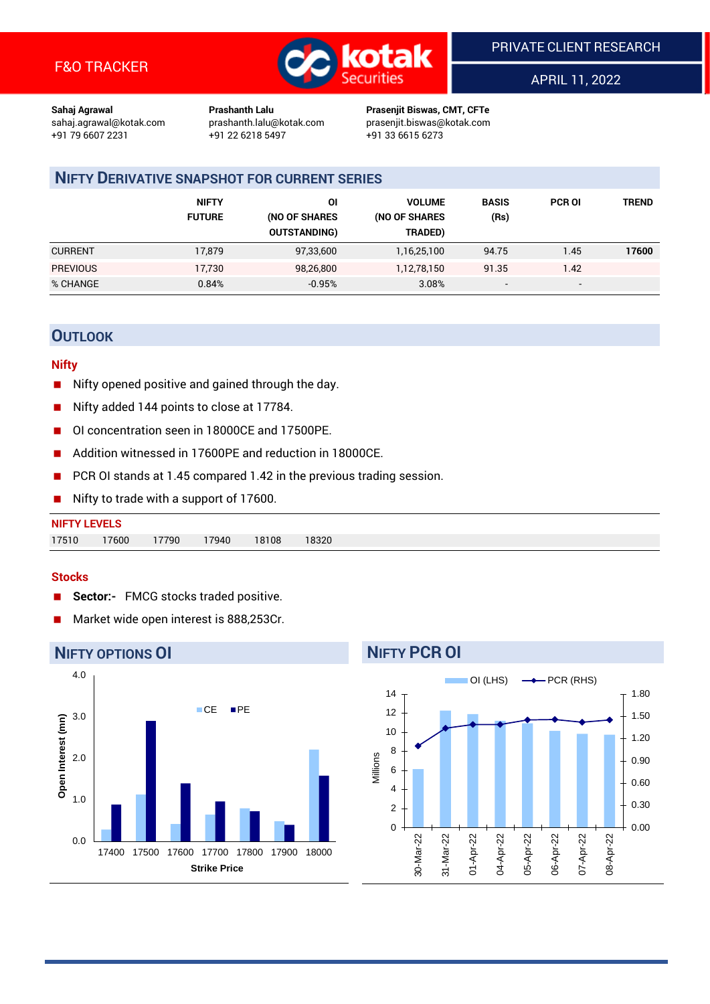

APRIL 11, 2022

**Sahaj Agrawal Prashanth Lalu Prasenjit Biswas, CMT, CFTe** +91 22 6218 5497 +91 33 6615 6273

sahaj.agrawal@kotak.com [prashanth.lalu@kotak.com](mailto:prashanth.lalu@kotak.com) prasenjit.biswas@kotak.com

# **NIFTY DERIVATIVE SNAPSHOT FOR CURRENT SERIES**

|                 | <b>NIFTY</b><br><b>FUTURE</b> | ΟI<br>(NO OF SHARES<br><b>OUTSTANDING)</b> | <b>VOLUME</b><br>(NO OF SHARES<br>TRADED) | <b>BASIS</b><br>(Rs)     | <b>PCR OI</b>            | <b>TREND</b> |
|-----------------|-------------------------------|--------------------------------------------|-------------------------------------------|--------------------------|--------------------------|--------------|
| <b>CURRENT</b>  | 17,879                        | 97,33,600                                  | 1,16,25,100                               | 94.75                    | 1.45                     | 17600        |
| <b>PREVIOUS</b> | 17,730                        | 98,26,800                                  | 1,12,78,150                               | 91.35                    | 1.42                     |              |
| % CHANGE        | 0.84%                         | $-0.95%$                                   | 3.08%                                     | $\overline{\phantom{a}}$ | $\overline{\phantom{a}}$ |              |

## **OUTLOOK**

#### **Nifty**

- $\blacksquare$  Nifty opened positive and gained through the day.
- Nifty added 144 points to close at 17784.
- OI concentration seen in 18000CE and 17500PE.
- Addition witnessed in 17600PE and reduction in 18000CE.
- PCR OI stands at 1.45 compared 1.42 in the previous trading session.
- Nifty to trade with a support of 17600.

| <b>NIFTY LEVELS</b> |       |       |       |       |       |
|---------------------|-------|-------|-------|-------|-------|
| 17510               | 17600 | 17790 | 17940 | 18108 | 18320 |

#### **Stocks**

- **Sector:-** FMCG stocks traded positive.
- Market wide open interest is 888,253Cr.



# **NIFTY PCR OI**

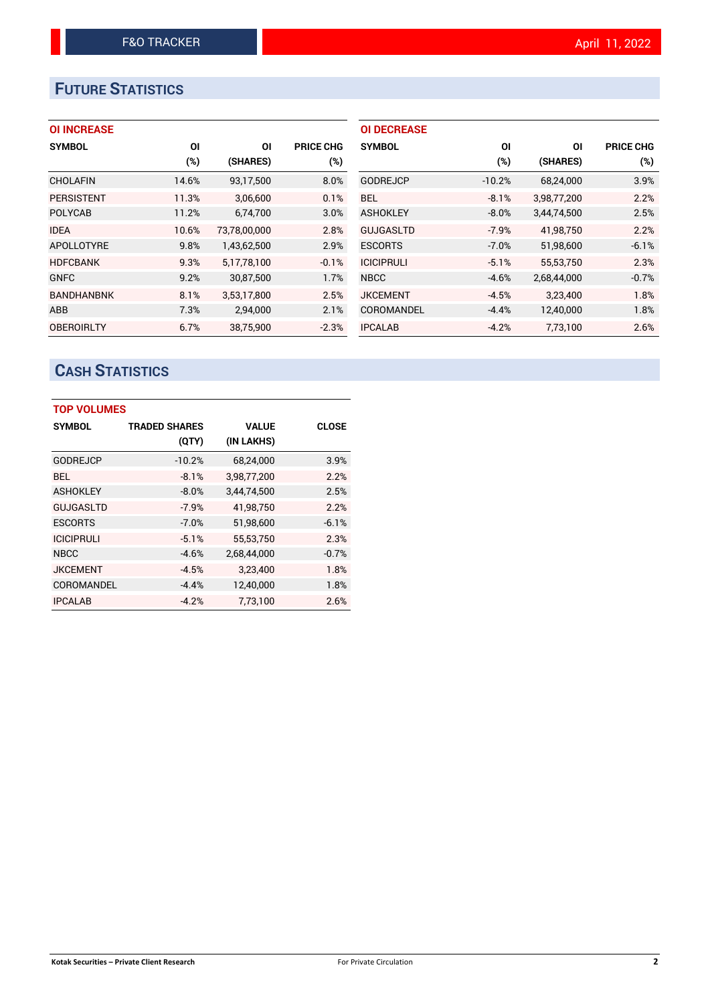# **FUTURE STATISTICS**

| <b>OI INCREASE</b> |
|--------------------|
|--------------------|

| <b>SYMBOL</b>     | ΟI    | OI           | <b>PRICE CHG</b> |
|-------------------|-------|--------------|------------------|
|                   | (%)   | (SHARES)     | (%)              |
| <b>CHOLAFIN</b>   | 14.6% | 93,17,500    | 8.0%             |
| <b>PERSISTENT</b> | 11.3% | 3,06,600     | 0.1%             |
| <b>POLYCAB</b>    | 11.2% | 6,74,700     | 3.0%             |
| <b>IDEA</b>       | 10.6% | 73,78,00,000 | 2.8%             |
| <b>APOLLOTYRE</b> | 9.8%  | 1,43,62,500  | 2.9%             |
| <b>HDFCBANK</b>   | 9.3%  | 5,17,78,100  | $-0.1%$          |
| <b>GNFC</b>       | 9.2%  | 30,87,500    | 1.7%             |
| <b>BANDHANBNK</b> | 8.1%  | 3,53,17,800  | 2.5%             |
| ABB               | 7.3%  | 2,94,000     | 2.1%             |
| <b>OBEROIRLTY</b> | 6.7%  | 38.75.900    | $-2.3%$          |

| <b>OI DECREASE</b> |          |             |                  |
|--------------------|----------|-------------|------------------|
| <b>SYMBOL</b>      | ΟI       | ΟI          | <b>PRICE CHG</b> |
|                    | (%)      | (SHARES)    | $(\%)$           |
| <b>GODREJCP</b>    | $-10.2%$ | 68,24,000   | 3.9%             |
| BEL.               | $-8.1%$  | 3,98,77,200 | 2.2%             |
| <b>ASHOKLEY</b>    | $-8.0%$  | 3.44.74.500 | 2.5%             |
| <b>GUJGASLTD</b>   | $-7.9%$  | 41.98.750   | 2.2%             |
| <b>ESCORTS</b>     | $-7.0%$  | 51,98,600   | $-6.1%$          |
| <b>ICICIPRULI</b>  | $-5.1%$  | 55.53.750   | 2.3%             |
| <b>NBCC</b>        | $-4.6%$  | 2,68,44,000 | $-0.7%$          |
| <b>JKCEMENT</b>    | $-4.5%$  | 3,23,400    | 1.8%             |
| COROMANDEL         | $-4.4%$  | 12,40,000   | 1.8%             |
| <b>IPCALAB</b>     | $-4.2%$  | 7,73,100    | 2.6%             |

# **CASH STATISTICS**

| <b>TOP VOLUMES</b> |                      |              |              |  |  |  |  |
|--------------------|----------------------|--------------|--------------|--|--|--|--|
| <b>SYMBOL</b>      | <b>TRADED SHARES</b> | <b>VALUE</b> | <b>CLOSE</b> |  |  |  |  |
|                    | (QTY)                | (IN LAKHS)   |              |  |  |  |  |
| <b>GODREJCP</b>    | $-10.2%$             | 68,24,000    | 3.9%         |  |  |  |  |
| <b>BEL</b>         | $-8.1%$              | 3,98,77,200  | 2.2%         |  |  |  |  |
| <b>ASHOKLEY</b>    | $-8.0%$              | 3,44,74,500  | 2.5%         |  |  |  |  |
| <b>GUJGASLTD</b>   | $-7.9%$              | 41,98,750    | 2.2%         |  |  |  |  |
| <b>ESCORTS</b>     | $-7.0%$              | 51,98,600    | $-6.1%$      |  |  |  |  |
| <b>ICICIPRULI</b>  | $-5.1%$              | 55.53.750    | 2.3%         |  |  |  |  |
| <b>NBCC</b>        | $-4.6%$              | 2,68,44,000  | $-0.7%$      |  |  |  |  |
| <b>JKCEMENT</b>    | $-4.5%$              | 3,23,400     | 1.8%         |  |  |  |  |
| COROMANDEL         | $-4.4%$              | 12,40,000    | 1.8%         |  |  |  |  |
| <b>IPCALAB</b>     | $-4.2%$              | 7.73.100     | 2.6%         |  |  |  |  |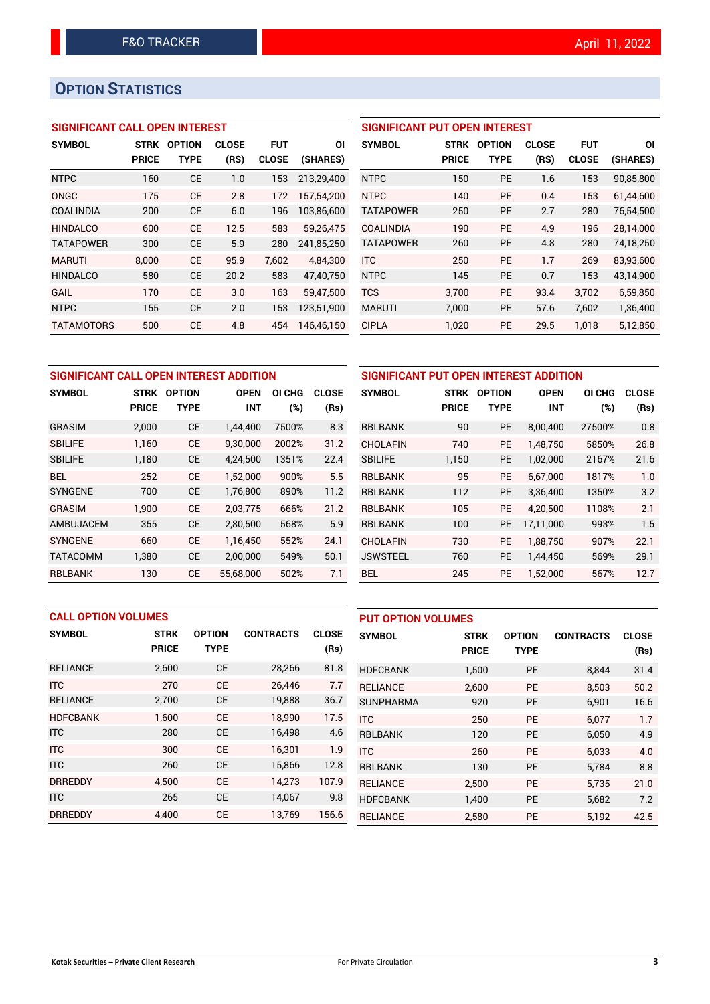# **OPTION STATISTICS**

## **SIGNIFICANT CALL OPEN INTEREST**

| <b>SYMBOL</b>     | <b>STRK</b>  | <b>OPTION</b> | <b>CLOSE</b> | <b>FUT</b>   | ΟI         |
|-------------------|--------------|---------------|--------------|--------------|------------|
|                   | <b>PRICE</b> | TYPE          | (RS)         | <b>CLOSE</b> | (SHARES)   |
| <b>NTPC</b>       | 160          | CE            | 1.0          | 153          | 213.29.400 |
| ONGC              | 175          | CE            | 2.8          | 172          | 157.54.200 |
| <b>COALINDIA</b>  | 200          | CE            | 6.0          | 196          | 103,86,600 |
| <b>HINDALCO</b>   | 600          | CE            | 12.5         | 583          | 59.26.475  |
| <b>TATAPOWER</b>  | 300          | CE            | 5.9          | 280          | 241,85,250 |
| <b>MARUTI</b>     | 8.000        | CF            | 95.9         | 7.602        | 4.84.300   |
| <b>HINDALCO</b>   | 580          | СE            | 20.2         | 583          | 47,40,750  |
| GAIL              | 170          | CE            | 3.0          | 163          | 59.47.500  |
| <b>NTPC</b>       | 155          | CE            | 2.0          | 153          | 123.51.900 |
| <b>TATAMOTORS</b> | 500          | CE            | 4.8          | 454          | 146.46.150 |

## **SIGNIFICANT PUT OPEN INTEREST SYMBOL STRK OPTION CLOSE FUT OI**

| SYMBUL           | 51 KK        | UPTIUN      | uluse | ru i         | υı        |
|------------------|--------------|-------------|-------|--------------|-----------|
|                  | <b>PRICE</b> | <b>TYPE</b> | (RS)  | <b>CLOSE</b> | (SHARES)  |
| <b>NTPC</b>      | 150          | <b>PE</b>   | 1.6   | 153          | 90,85,800 |
| <b>NTPC</b>      | 140          | <b>PE</b>   | 0.4   | 153          | 61,44,600 |
| <b>TATAPOWER</b> | 250          | <b>PE</b>   | 2.7   | 280          | 76,54,500 |
| <b>COALINDIA</b> | 190          | <b>PE</b>   | 4.9   | 196          | 28,14,000 |
| <b>TATAPOWER</b> | 260          | <b>PE</b>   | 4.8   | 280          | 74,18,250 |
| <b>ITC</b>       | 250          | <b>PE</b>   | 1.7   | 269          | 83,93,600 |
| <b>NTPC</b>      | 145          | <b>PE</b>   | 0.7   | 153          | 43,14,900 |
| <b>TCS</b>       | 3,700        | <b>PE</b>   | 93.4  | 3,702        | 6,59,850  |
| <b>MARUTI</b>    | 7,000        | <b>PE</b>   | 57.6  | 7,602        | 1,36,400  |
| <b>CIPLA</b>     | 1,020        | <b>PE</b>   | 29.5  | 1.018        | 5,12,850  |

|                 | SIGNIFICANT CALL OPEN INTEREST ADDITION |               |             |                  |              | SIGNIFICANT PUT OPEN INTEREST ADDITION |              |               |             |        |              |
|-----------------|-----------------------------------------|---------------|-------------|------------------|--------------|----------------------------------------|--------------|---------------|-------------|--------|--------------|
| <b>SYMBOL</b>   | <b>STRK</b>                             | <b>OPTION</b> | <b>OPEN</b> | ΟI<br><b>CHG</b> | <b>CLOSE</b> | <b>SYMBOL</b>                          | <b>STRK</b>  | <b>OPTION</b> | <b>OPEN</b> | OI CHG | <b>CLOSE</b> |
|                 | <b>PRICE</b>                            | <b>TYPE</b>   | <b>INT</b>  | (%)              | (Rs)         |                                        | <b>PRICE</b> | <b>TYPE</b>   | <b>INT</b>  | (%)    | (Rs)         |
| <b>GRASIM</b>   | 2.000                                   | <b>CE</b>     | 1,44,400    | 7500%            | 8.3          | <b>RBLBANK</b>                         | 90           | PE            | 8,00,400    | 27500% | 0.8          |
| <b>SBILIFE</b>  | 1.160                                   | <b>CE</b>     | 9.30.000    | 2002%            | 31.2         | <b>CHOLAFIN</b>                        | 740          | <b>PE</b>     | 1.48.750    | 5850%  | 26.8         |
| <b>SBILIFE</b>  | 1,180                                   | <b>CE</b>     | 4,24,500    | 1351%            | 22.4         | <b>SBILIFE</b>                         | 1,150        | <b>PE</b>     | 1,02,000    | 2167%  | 21.6         |
| <b>BEL</b>      | 252                                     | <b>CE</b>     | 1,52,000    | 900%             | 5.5          | RBLBANK                                | 95           | <b>PE</b>     | 6,67,000    | 1817%  | 1.0          |
| <b>SYNGENE</b>  | 700                                     | <b>CE</b>     | 1,76,800    | 890%             | 11.2         | <b>RBLBANK</b>                         | 112          | PE            | 3,36,400    | 1350%  | 3.2          |
| <b>GRASIM</b>   | 1.900                                   | <b>CE</b>     | 2.03.775    | 666%             | 21.2         | <b>RBLBANK</b>                         | 105          | <b>PE</b>     | 4.20.500    | 1108%  | 2.1          |
| AMBUJACEM       | 355                                     | <b>CE</b>     | 2,80,500    | 568%             | 5.9          | <b>RBLBANK</b>                         | 100          | PE            | 17,11,000   | 993%   | 1.5          |
| <b>SYNGENE</b>  | 660                                     | <b>CE</b>     | 1.16.450    | 552%             | 24.1         | <b>CHOLAFIN</b>                        | 730          | <b>PE</b>     | 1.88.750    | 907%   | 22.1         |
| <b>TATACOMM</b> | 1,380                                   | <b>CE</b>     | 2,00,000    | 549%             | 50.1         | <b>JSWSTEEL</b>                        | 760          | <b>PE</b>     | 1,44,450    | 569%   | 29.1         |
| <b>RBLBANK</b>  | 130                                     | <b>CE</b>     | 55,68,000   | 502%             | 7.1          | <b>BEL</b>                             | 245          | <b>PE</b>     | 1,52,000    | 567%   | 12.7         |

|                 | <b>CALL OPTION VOLUMES</b> |               |                  |              |                  | <b>PUT OPTION VOLUMES</b> |               |                  |              |  |
|-----------------|----------------------------|---------------|------------------|--------------|------------------|---------------------------|---------------|------------------|--------------|--|
| <b>SYMBOL</b>   | <b>STRK</b>                | <b>OPTION</b> | <b>CONTRACTS</b> | <b>CLOSE</b> | <b>SYMBOL</b>    | <b>STRK</b>               | <b>OPTION</b> | <b>CONTRACTS</b> | <b>CLOSE</b> |  |
|                 | <b>PRICE</b>               | <b>TYPE</b>   |                  | (Rs)         |                  | <b>PRICE</b>              | <b>TYPE</b>   |                  | (Rs)         |  |
| <b>RELIANCE</b> | 2,600                      | <b>CE</b>     | 28,266           | 81.8         | <b>HDFCBANK</b>  | 1,500                     | <b>PE</b>     | 8.844            | 31.4         |  |
| ITC             | 270                        | <b>CE</b>     | 26.446           | 7.7          | <b>RELIANCE</b>  | 2,600                     | <b>PE</b>     | 8.503            | 50.2         |  |
| <b>RELIANCE</b> | 2,700                      | <b>CE</b>     | 19,888           | 36.7         | <b>SUNPHARMA</b> | 920                       | <b>PE</b>     | 6,901            | 16.6         |  |
| <b>HDFCBANK</b> | 1.600                      | <b>CE</b>     | 18.990           | 17.5         | <b>ITC</b>       | 250                       | <b>PE</b>     | 6.077            | 1.7          |  |
| <b>ITC</b>      | 280                        | <b>CE</b>     | 16,498           | 4.6          | <b>RBLBANK</b>   | 120                       | <b>PE</b>     | 6.050            | 4.9          |  |
| <b>ITC</b>      | 300                        | <b>CE</b>     | 16,301           | 1.9          | <b>ITC</b>       | 260                       | <b>PE</b>     | 6.033            | 4.0          |  |
| <b>ITC</b>      | 260                        | <b>CE</b>     | 15,866           | 12.8         | <b>RBLBANK</b>   | 130                       | <b>PE</b>     | 5,784            | 8.8          |  |
| <b>DRREDDY</b>  | 4.500                      | <b>CE</b>     | 14.273           | 107.9        | <b>RELIANCE</b>  | 2.500                     | <b>PE</b>     | 5.735            | 21.0         |  |
| <b>ITC</b>      | 265                        | <b>CE</b>     | 14,067           | 9.8          | <b>HDFCBANK</b>  | 1,400                     | PE            | 5,682            | 7.2          |  |
| <b>DRREDDY</b>  | 4.400                      | <b>CE</b>     | 13.769           | 156.6        | <b>RELIANCE</b>  | 2.580                     | <b>PE</b>     | 5.192            | 42.5         |  |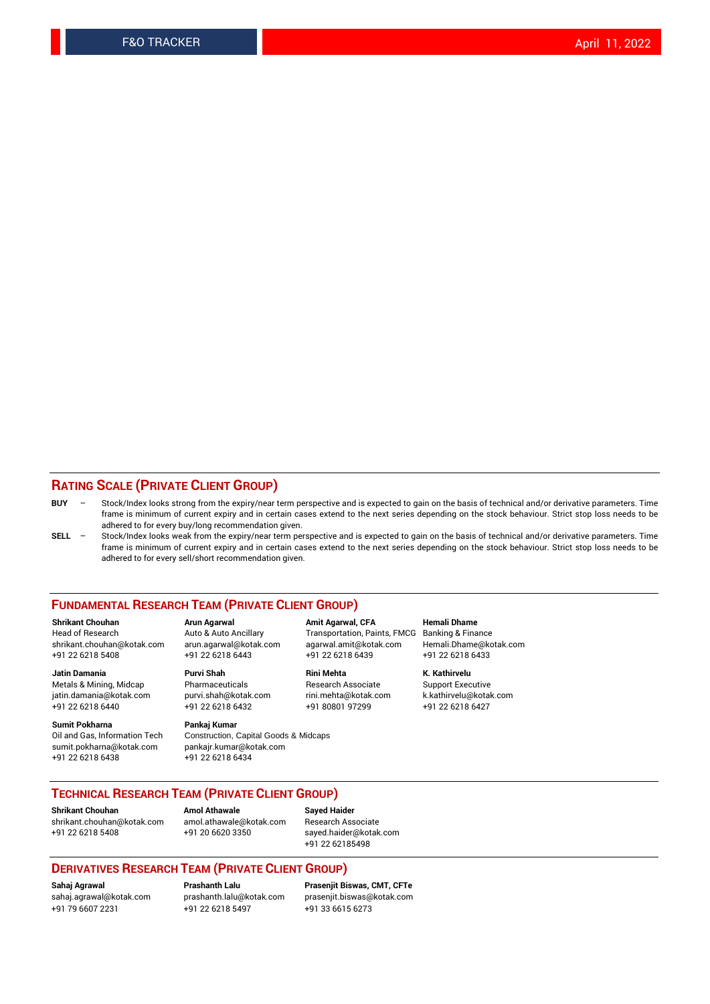#### **RATING SCALE (PRIVATE CLIENT GROUP)**

- **BUY**  Stock/Index looks strong from the expiry/near term perspective and is expected to gain on the basis of technical and/or derivative parameters. Time frame is minimum of current expiry and in certain cases extend to the next series depending on the stock behaviour. Strict stop loss needs to be adhered to for every buy/long recommendation given.
- **SELL** Stock/Index looks weak from the expiry/near term perspective and is expected to gain on the basis of technical and/or derivative parameters. Time frame is minimum of current expiry and in certain cases extend to the next series depending on the stock behaviour. Strict stop loss needs to be adhered to for every sell/short recommendation given.

#### **FUNDAMENTAL RESEARCH TEAM (PRIVATE CLIENT GROUP)**

**Shrikant Chouhan Arun Agarwal Amit Agarwal, CFA Hemali Dhame** shrikant.chouhan@kotak.com arun.agarwal@kotak.com agarwal.amit@kotak.com Hemali.Dhame@kotak.com +91 22 6218 5408 +91 22 6218 6443 +91 22 6218 6439 +91 22 6218 6433

jatin.damania@kotak.com

**Sumit Pokharna** Pankaj Kumar<br>Oil and Gas, Information Tech Construction, sumit.pokharna@kotak.com pankajr.kumar@kotak.com +91 22 6218 6438 +91 22 6218 6434

Construction, Capital Goods & Midcaps

Transportation, Paints, FMCG

**Jatin Damania Purvi Shah Rini Mehta K. Kathirvelu** +91 22 6218 6440 +91 22 6218 6432 +91 80801 97299 +91 22 6218 6427

Metals & Mining, Midcap Pharmaceuticals Pharmaceuticals Research Associate Support Executive<br>
iatin.damania@kotak.com purvi.shah@kotak.com rini.mehta@kotak.com k.kathirvelu@kotak.com

### **TECHNICAL RESEARCH TEAM (PRIVATE CLIENT GROUP)**

**Shrikant Chouhan Amol Athawale Sayed Haider** [shrikant.chouhan@kotak.com](mailto:shrikant.chouhan@kotak.com) [amol.athawale@kotak.com](mailto:amol.athawale@kotak.com) Research Associate +91 22 6218 5408 +91 20 6620 3350 [sayed.haider@kotak.com](mailto:sayed.haider@kotak.com)

+91 22 62185498

#### **DERIVATIVES RESEARCH TEAM (PRIVATE CLIENT GROUP)**

+91 79 6607 2231 +91 22 6218 5497 +91 33 6615 6273

**Sahaj Agrawal Prashanth Lalu Prasenjit Biswas, CMT, CFTe** [prasenjit.biswas@kotak.com](mailto:prasenjit.biswas@kotak.com)